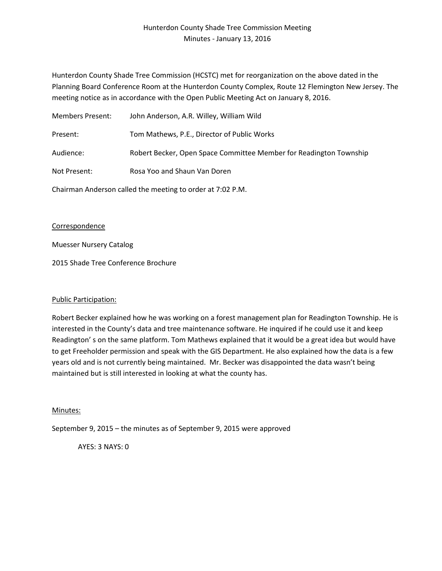# Hunterdon County Shade Tree Commission Meeting Minutes - January 13, 2016

Hunterdon County Shade Tree Commission (HCSTC) met for reorganization on the above dated in the Planning Board Conference Room at the Hunterdon County Complex, Route 12 Flemington New Jersey. The meeting notice as in accordance with the Open Public Meeting Act on January 8, 2016.

| Members Present:                                           | John Anderson, A.R. Willey, William Wild                           |
|------------------------------------------------------------|--------------------------------------------------------------------|
| Present:                                                   | Tom Mathews, P.E., Director of Public Works                        |
| Audience:                                                  | Robert Becker, Open Space Committee Member for Readington Township |
| Not Present:                                               | Rosa Yoo and Shaun Van Doren                                       |
| Chairman Anderson called the meeting to order at 7:02 P.M. |                                                                    |

## **Correspondence**

Muesser Nursery Catalog

2015 Shade Tree Conference Brochure

## Public Participation:

Robert Becker explained how he was working on a forest management plan for Readington Township. He is interested in the County's data and tree maintenance software. He inquired if he could use it and keep Readington' s on the same platform. Tom Mathews explained that it would be a great idea but would have to get Freeholder permission and speak with the GIS Department. He also explained how the data is a few years old and is not currently being maintained. Mr. Becker was disappointed the data wasn't being maintained but is still interested in looking at what the county has.

## Minutes:

September 9, 2015 – the minutes as of September 9, 2015 were approved

AYES: 3 NAYS: 0